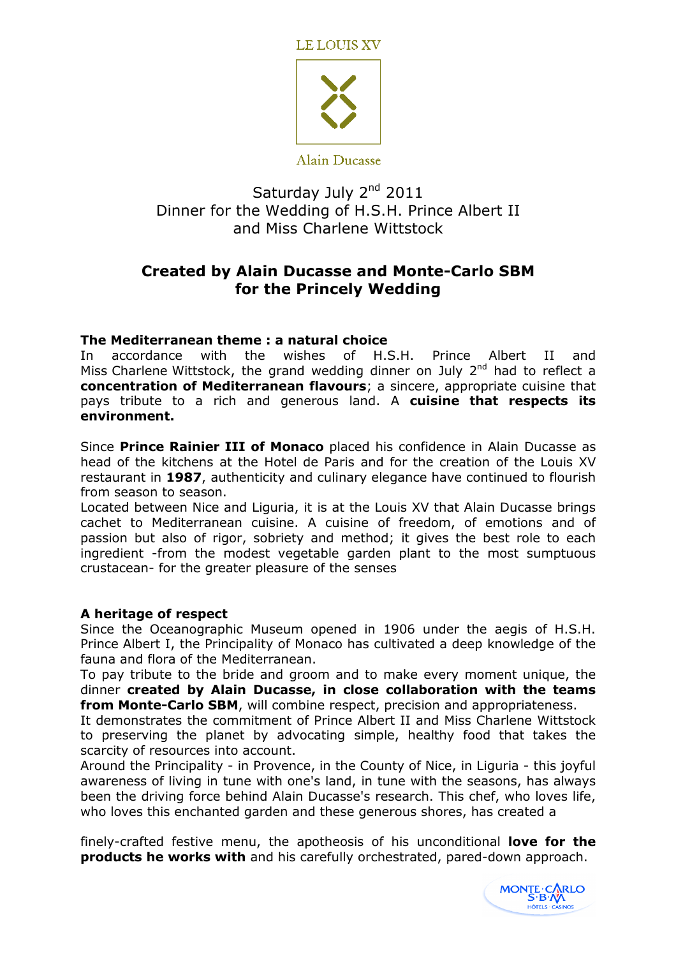**LE LOUIS XV** 



Saturday July 2<sup>nd</sup> 2011 Dinner for the Wedding of H.S.H. Prince Albert II and Miss Charlene Wittstock

# Created by Alain Ducasse and Monte-Carlo SBM for the Princely Wedding

## The Mediterranean theme : a natural choice

In accordance with the wishes of H.S.H. Prince Albert II and Miss Charlene Wittstock, the grand wedding dinner on July  $2^{nd}$  had to reflect a concentration of Mediterranean flavours; a sincere, appropriate cuisine that pays tribute to a rich and generous land. A cuisine that respects its environment.

Since Prince Rainier III of Monaco placed his confidence in Alain Ducasse as head of the kitchens at the Hotel de Paris and for the creation of the Louis XV restaurant in 1987, authenticity and culinary elegance have continued to flourish from season to season.

Located between Nice and Liguria, it is at the Louis XV that Alain Ducasse brings cachet to Mediterranean cuisine. A cuisine of freedom, of emotions and of passion but also of rigor, sobriety and method; it gives the best role to each ingredient -from the modest vegetable garden plant to the most sumptuous crustacean- for the greater pleasure of the senses

## A heritage of respect

Since the Oceanographic Museum opened in 1906 under the aegis of H.S.H. Prince Albert I, the Principality of Monaco has cultivated a deep knowledge of the fauna and flora of the Mediterranean.

To pay tribute to the bride and groom and to make every moment unique, the dinner created by Alain Ducasse, in close collaboration with the teams from Monte-Carlo SBM, will combine respect, precision and appropriateness.

It demonstrates the commitment of Prince Albert II and Miss Charlene Wittstock to preserving the planet by advocating simple, healthy food that takes the scarcity of resources into account.

Around the Principality - in Provence, in the County of Nice, in Liguria - this joyful awareness of living in tune with one's land, in tune with the seasons, has always been the driving force behind Alain Ducasse's research. This chef, who loves life, who loves this enchanted garden and these generous shores, has created a

finely-crafted festive menu, the apotheosis of his unconditional **love for the** products he works with and his carefully orchestrated, pared-down approach.

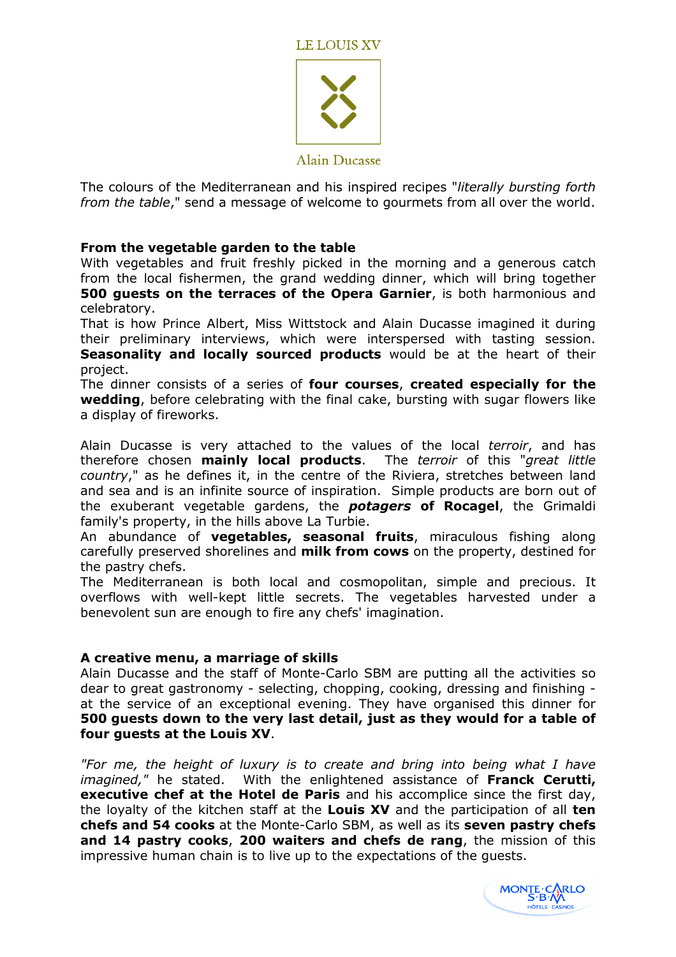

Alain Ducasse

The colours of the Mediterranean and his inspired recipes "literally bursting forth from the table," send a message of welcome to gourmets from all over the world.

## From the vegetable garden to the table

With vegetables and fruit freshly picked in the morning and a generous catch from the local fishermen, the grand wedding dinner, which will bring together 500 quests on the terraces of the Opera Garnier, is both harmonious and celebratory.

That is how Prince Albert, Miss Wittstock and Alain Ducasse imagined it during their preliminary interviews, which were interspersed with tasting session. Seasonality and locally sourced products would be at the heart of their project.

The dinner consists of a series of four courses, created especially for the wedding, before celebrating with the final cake, bursting with sugar flowers like a display of fireworks.

Alain Ducasse is very attached to the values of the local terroir, and has therefore chosen **mainly local products**. The terroir of this "great little country," as he defines it, in the centre of the Riviera, stretches between land and sea and is an infinite source of inspiration. Simple products are born out of the exuberant vegetable gardens, the **potagers of Rocagel**, the Grimaldi family's property, in the hills above La Turbie.

An abundance of **vegetables, seasonal fruits**, miraculous fishing along carefully preserved shorelines and milk from cows on the property, destined for the pastry chefs.

The Mediterranean is both local and cosmopolitan, simple and precious. It overflows with well-kept little secrets. The vegetables harvested under a benevolent sun are enough to fire any chefs' imagination.

### A creative menu, a marriage of skills

Alain Ducasse and the staff of Monte-Carlo SBM are putting all the activities so dear to great gastronomy - selecting, chopping, cooking, dressing and finishing at the service of an exceptional evening. They have organised this dinner for 500 guests down to the very last detail, just as they would for a table of four guests at the Louis XV.

"For me, the height of luxury is to create and bring into being what I have imagined," he stated. With the enlightened assistance of Franck Cerutti, executive chef at the Hotel de Paris and his accomplice since the first day, the loyalty of the kitchen staff at the **Louis XV** and the participation of all **ten** chefs and 54 cooks at the Monte-Carlo SBM, as well as its seven pastry chefs and 14 pastry cooks, 200 waiters and chefs de rang, the mission of this impressive human chain is to live up to the expectations of the guests.

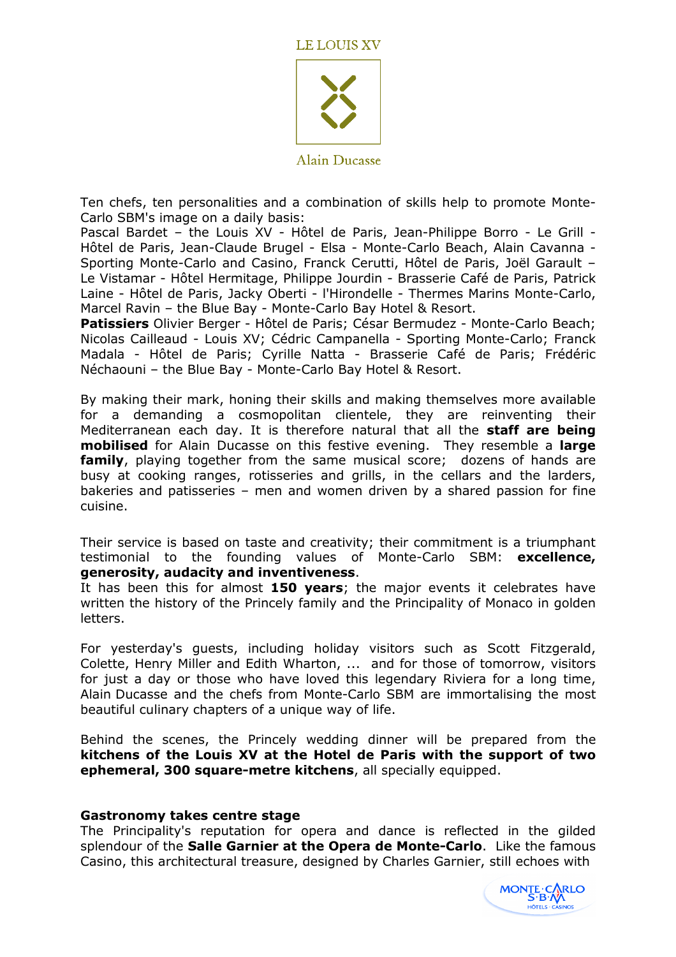



Alain Ducasse

Ten chefs, ten personalities and a combination of skills help to promote Monte-Carlo SBM's image on a daily basis:

Pascal Bardet – the Louis XV - Hôtel de Paris, Jean-Philippe Borro - Le Grill - Hôtel de Paris, Jean-Claude Brugel - Elsa - Monte-Carlo Beach, Alain Cavanna - Sporting Monte-Carlo and Casino, Franck Cerutti, Hôtel de Paris, Joël Garault – Le Vistamar - Hôtel Hermitage, Philippe Jourdin - Brasserie Café de Paris, Patrick Laine - Hôtel de Paris, Jacky Oberti - l'Hirondelle - Thermes Marins Monte-Carlo, Marcel Ravin – the Blue Bay - Monte-Carlo Bay Hotel & Resort.

Patissiers Olivier Berger - Hôtel de Paris; César Bermudez - Monte-Carlo Beach; Nicolas Cailleaud - Louis XV; Cédric Campanella - Sporting Monte-Carlo; Franck Madala - Hôtel de Paris; Cyrille Natta - Brasserie Café de Paris; Frédéric Néchaouni – the Blue Bay - Monte-Carlo Bay Hotel & Resort.

By making their mark, honing their skills and making themselves more available for a demanding a cosmopolitan clientele, they are reinventing their Mediterranean each day. It is therefore natural that all the staff are being mobilised for Alain Ducasse on this festive evening. They resemble a large family, playing together from the same musical score; dozens of hands are busy at cooking ranges, rotisseries and grills, in the cellars and the larders, bakeries and patisseries – men and women driven by a shared passion for fine cuisine.

Their service is based on taste and creativity; their commitment is a triumphant testimonial to the founding values of Monte-Carlo SBM: excellence, generosity, audacity and inventiveness.

It has been this for almost 150 years; the major events it celebrates have written the history of the Princely family and the Principality of Monaco in golden letters.

For yesterday's guests, including holiday visitors such as Scott Fitzgerald, Colette, Henry Miller and Edith Wharton, ... and for those of tomorrow, visitors for just a day or those who have loved this legendary Riviera for a long time, Alain Ducasse and the chefs from Monte-Carlo SBM are immortalising the most beautiful culinary chapters of a unique way of life.

Behind the scenes, the Princely wedding dinner will be prepared from the kitchens of the Louis XV at the Hotel de Paris with the support of two ephemeral, 300 square-metre kitchens, all specially equipped.

### Gastronomy takes centre stage

The Principality's reputation for opera and dance is reflected in the gilded splendour of the Salle Garnier at the Opera de Monte-Carlo. Like the famous Casino, this architectural treasure, designed by Charles Garnier, still echoes with